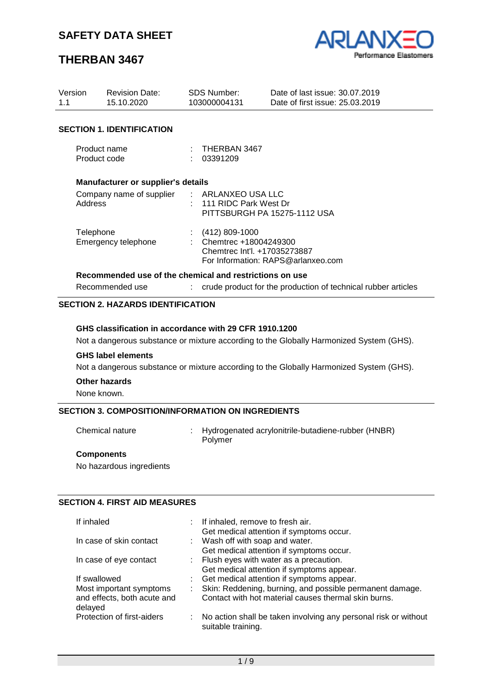# **THERBAN 3467**



| Version<br>1.1               | <b>Revision Date:</b><br>15.10.2020                     | SDS Number:<br>103000004131                                                   | Date of last issue: 30.07.2019<br>Date of first issue: 25,03,2019 |
|------------------------------|---------------------------------------------------------|-------------------------------------------------------------------------------|-------------------------------------------------------------------|
|                              | <b>SECTION 1. IDENTIFICATION</b>                        |                                                                               |                                                                   |
| Product name<br>Product code |                                                         | $\therefore$ THERBAN 3467<br>: 03391209                                       |                                                                   |
|                              | Manufacturer or supplier's details                      |                                                                               |                                                                   |
| Address                      | Company name of supplier                                | : ARLANXEO USA LLC<br>$: 111$ RIDC Park West Dr                               | PITTSBURGH PA 15275-1112 USA                                      |
| Telephone                    | Emergency telephone                                     | $(412)$ 809-1000<br>: Chemtrec $+18004249300$<br>Chemtrec Int'l. +17035273887 | For Information: RAPS@arlanxeo.com                                |
|                              | Recommended use of the chemical and restrictions on use |                                                                               |                                                                   |

Recommended use : crude product for the production of technical rubber articles

# **SECTION 2. HAZARDS IDENTIFICATION**

### **GHS classification in accordance with 29 CFR 1910.1200**

Not a dangerous substance or mixture according to the Globally Harmonized System (GHS).

#### **GHS label elements**

Not a dangerous substance or mixture according to the Globally Harmonized System (GHS).

#### **Other hazards**

None known.

## **SECTION 3. COMPOSITION/INFORMATION ON INGREDIENTS**

Chemical nature : Hydrogenated acrylonitrile-butadiene-rubber (HNBR) Polymer

### **Components**

No hazardous ingredients

## **SECTION 4. FIRST AID MEASURES**

| If inhaled                             |    | : If inhaled, remove to fresh air.<br>Get medical attention if symptoms occur.           |
|----------------------------------------|----|------------------------------------------------------------------------------------------|
| In case of skin contact                |    | : Wash off with soap and water.<br>Get medical attention if symptoms occur.              |
| In case of eye contact                 |    | : Flush eyes with water as a precaution.                                                 |
| If swallowed                           |    | Get medical attention if symptoms appear.<br>: Get medical attention if symptoms appear. |
| Most important symptoms                |    | Skin: Reddening, burning, and possible permanent damage.                                 |
| and effects, both acute and<br>delayed |    | Contact with hot material causes thermal skin burns.                                     |
| Protection of first-aiders             | t. | No action shall be taken involving any personal risk or without<br>suitable training.    |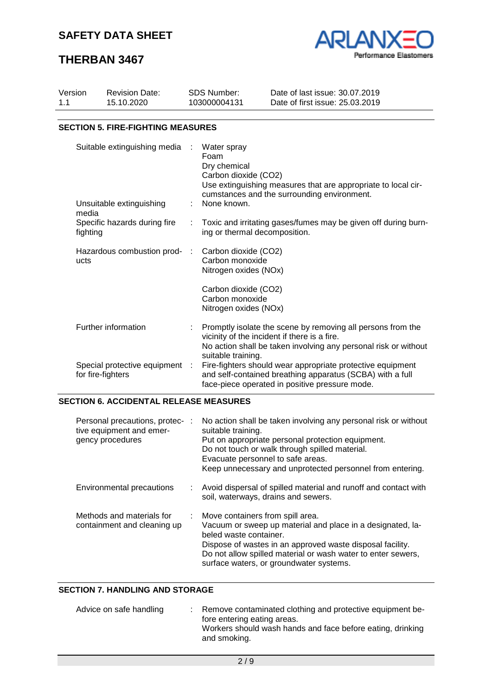# **THERBAN 3467**



| Version | <b>Revision Date:</b>                               | <b>SDS Number:</b>                                               | Date of last issue: 30.07.2019                                                                                                                                                 |
|---------|-----------------------------------------------------|------------------------------------------------------------------|--------------------------------------------------------------------------------------------------------------------------------------------------------------------------------|
| 1.1     | 15.10.2020                                          | 103000004131                                                     | Date of first issue: 25.03.2019                                                                                                                                                |
|         | <b>SECTION 5. FIRE-FIGHTING MEASURES</b>            |                                                                  |                                                                                                                                                                                |
|         | Suitable extinguishing media                        | Water spray<br>Foam<br>Dry chemical<br>Carbon dioxide (CO2)      | Use extinguishing measures that are appropriate to local cir-<br>cumstances and the surrounding environment.                                                                   |
|         | Unsuitable extinguishing<br>media                   | None known.                                                      |                                                                                                                                                                                |
|         | Specific hazards during fire<br>fighting            | ÷.                                                               | Toxic and irritating gases/fumes may be given off during burn-<br>ing or thermal decomposition.                                                                                |
|         | Hazardous combustion prod- :<br>ucts                | Carbon dioxide (CO2)<br>Carbon monoxide<br>Nitrogen oxides (NOx) |                                                                                                                                                                                |
|         |                                                     | Carbon dioxide (CO2)<br>Carbon monoxide<br>Nitrogen oxides (NOx) |                                                                                                                                                                                |
|         | Further information                                 | suitable training.                                               | Promptly isolate the scene by removing all persons from the<br>vicinity of the incident if there is a fire.<br>No action shall be taken involving any personal risk or without |
|         | Special protective equipment :<br>for fire-fighters |                                                                  | Fire-fighters should wear appropriate protective equipment<br>and self-contained breathing apparatus (SCBA) with a full<br>face-piece operated in positive pressure mode.      |

## **SECTION 6. ACCIDENTAL RELEASE MEASURES**

| Personal precautions, protec-:<br>tive equipment and emer-<br>gency procedures | No action shall be taken involving any personal risk or without<br>suitable training.<br>Put on appropriate personal protection equipment.<br>Do not touch or walk through spilled material.<br>Evacuate personnel to safe areas.<br>Keep unnecessary and unprotected personnel from entering.     |
|--------------------------------------------------------------------------------|----------------------------------------------------------------------------------------------------------------------------------------------------------------------------------------------------------------------------------------------------------------------------------------------------|
| Environmental precautions                                                      | Avoid dispersal of spilled material and runoff and contact with<br>÷.<br>soil, waterways, drains and sewers.                                                                                                                                                                                       |
| Methods and materials for<br>containment and cleaning up                       | : Move containers from spill area.<br>Vacuum or sweep up material and place in a designated, la-<br>beled waste container.<br>Dispose of wastes in an approved waste disposal facility.<br>Do not allow spilled material or wash water to enter sewers,<br>surface waters, or groundwater systems. |

## **SECTION 7. HANDLING AND STORAGE**

| Advice on safe handling | : Remove contaminated clothing and protective equipment be-<br>fore entering eating areas.<br>Workers should wash hands and face before eating, drinking<br>and smoking. |
|-------------------------|--------------------------------------------------------------------------------------------------------------------------------------------------------------------------|
|                         |                                                                                                                                                                          |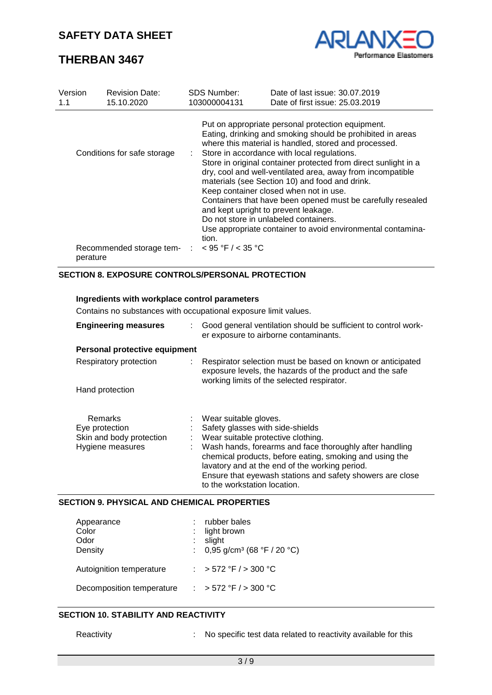

# **THERBAN 3467**

| Version<br>1.1 | <b>Revision Date:</b><br>15.10.2020                                                    | <b>SDS Number:</b><br>103000004131 | Date of last issue: 30.07.2019<br>Date of first issue: 25.03.2019                                                                                                                                                                                                                                                                                                                                                                                                                                                                                                                                                                                                     |
|----------------|----------------------------------------------------------------------------------------|------------------------------------|-----------------------------------------------------------------------------------------------------------------------------------------------------------------------------------------------------------------------------------------------------------------------------------------------------------------------------------------------------------------------------------------------------------------------------------------------------------------------------------------------------------------------------------------------------------------------------------------------------------------------------------------------------------------------|
|                | Conditions for safe storage<br>Recommended storage tem- $\therefore$ < 95 °F / < 35 °C | tion.                              | Put on appropriate personal protection equipment.<br>Eating, drinking and smoking should be prohibited in areas<br>where this material is handled, stored and processed.<br>: Store in accordance with local regulations.<br>Store in original container protected from direct sunlight in a<br>dry, cool and well-ventilated area, away from incompatible<br>materials (see Section 10) and food and drink.<br>Keep container closed when not in use.<br>Containers that have been opened must be carefully resealed<br>and kept upright to prevent leakage.<br>Do not store in unlabeled containers.<br>Use appropriate container to avoid environmental contamina- |
|                | perature                                                                               |                                    |                                                                                                                                                                                                                                                                                                                                                                                                                                                                                                                                                                                                                                                                       |

## **SECTION 8. EXPOSURE CONTROLS/PERSONAL PROTECTION**

### **Ingredients with workplace control parameters**

Contains no substances with occupational exposure limit values.

| <b>Engineering measures</b>    | Good general ventilation should be sufficient to control work-<br>er exposure to airborne contaminants.                                                                                                                                                           |  |
|--------------------------------|-------------------------------------------------------------------------------------------------------------------------------------------------------------------------------------------------------------------------------------------------------------------|--|
| Personal protective equipment  |                                                                                                                                                                                                                                                                   |  |
| Respiratory protection         | Respirator selection must be based on known or anticipated<br>exposure levels, the hazards of the product and the safe<br>working limits of the selected respirator.                                                                                              |  |
| Hand protection                |                                                                                                                                                                                                                                                                   |  |
|                                |                                                                                                                                                                                                                                                                   |  |
| Remarks                        | Wear suitable gloves.                                                                                                                                                                                                                                             |  |
| Eye protection                 | Safety glasses with side-shields                                                                                                                                                                                                                                  |  |
| Skin and body protection<br>t. | Wear suitable protective clothing.                                                                                                                                                                                                                                |  |
| Hygiene measures               | Wash hands, forearms and face thoroughly after handling<br>chemical products, before eating, smoking and using the<br>lavatory and at the end of the working period.<br>Ensure that eyewash stations and safety showers are close<br>to the workstation location. |  |

### **SECTION 9. PHYSICAL AND CHEMICAL PROPERTIES**

| Appearance<br>Color<br>Odor<br>Density | rubber bales<br>light brown<br>slight<br>: $0,95$ g/cm <sup>3</sup> (68 °F / 20 °C) |
|----------------------------------------|-------------------------------------------------------------------------------------|
| Autoignition temperature               | : > 572 °F / > 300 °C                                                               |
| Decomposition temperature              | : > 572 °F / > 300 °C                                                               |

## **SECTION 10. STABILITY AND REACTIVITY**

Reactivity **Reactivity** : No specific test data related to reactivity available for this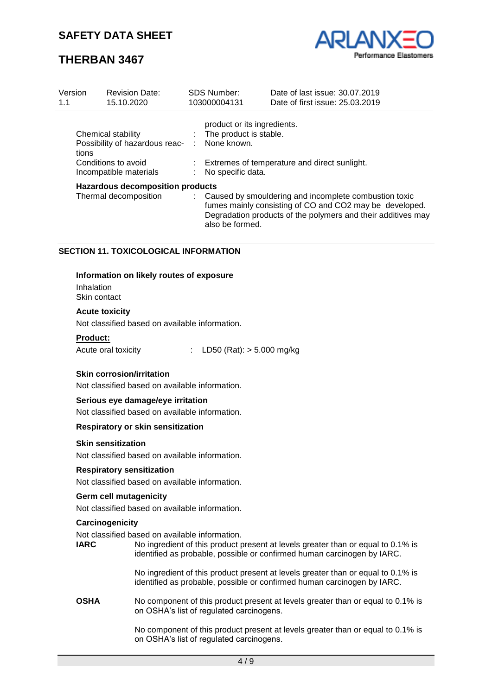# **THERBAN 3467**



| Version<br>1.1                                                                                                 | <b>Revision Date:</b><br>15.10.2020 |   | <b>SDS Number:</b><br>103000004131                                                                                                          | Date of last issue: 30.07.2019<br>Date of first issue: 25.03.2019                                                                                                                  |  |
|----------------------------------------------------------------------------------------------------------------|-------------------------------------|---|---------------------------------------------------------------------------------------------------------------------------------------------|------------------------------------------------------------------------------------------------------------------------------------------------------------------------------------|--|
| Chemical stability<br>Possibility of hazardous reac-<br>tions<br>Conditions to avoid<br>Incompatible materials |                                     | ÷ | product or its ingredients.<br>: The product is stable.<br>None known.<br>Extremes of temperature and direct sunlight.<br>No specific data. |                                                                                                                                                                                    |  |
| <b>Hazardous decomposition products</b><br>Thermal decomposition                                               |                                     |   | also be formed.                                                                                                                             | : Caused by smouldering and incomplete combustion toxic<br>fumes mainly consisting of CO and CO2 may be developed.<br>Degradation products of the polymers and their additives may |  |

### **SECTION 11. TOXICOLOGICAL INFORMATION**

#### **Information on likely routes of exposure**

Inhalation Skin contact

#### **Acute toxicity**

Not classified based on available information.

#### **Product:**

Acute oral toxicity : LD50 (Rat): > 5.000 mg/kg

### **Skin corrosion/irritation**

Not classified based on available information.

#### **Serious eye damage/eye irritation**

Not classified based on available information.

#### **Respiratory or skin sensitization**

#### **Skin sensitization**

Not classified based on available information.

#### **Respiratory sensitization**

Not classified based on available information.

#### **Germ cell mutagenicity**

Not classified based on available information.

#### **Carcinogenicity**

Not classified based on available information.

**IARC** No ingredient of this product present at levels greater than or equal to 0.1% is identified as probable, possible or confirmed human carcinogen by IARC.

> No ingredient of this product present at levels greater than or equal to 0.1% is identified as probable, possible or confirmed human carcinogen by IARC.

**OSHA** No component of this product present at levels greater than or equal to 0.1% is on OSHA's list of regulated carcinogens.

> No component of this product present at levels greater than or equal to 0.1% is on OSHA's list of regulated carcinogens.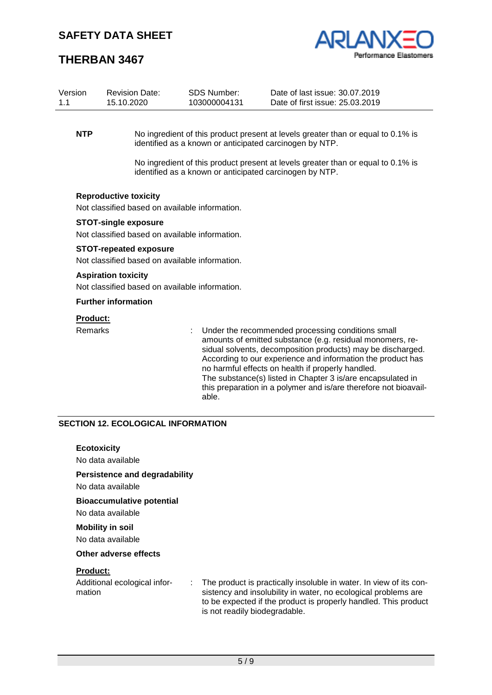

# **THERBAN 3467**

| Version<br>1.1             | <b>Revision Date:</b><br>15.10.2020                                             | <b>SDS Number:</b><br>103000004131                      | Date of last issue: 30.07.2019<br>Date of first issue: 25.03.2019                                                                                                                                                                                                                                                                                                                                                                    |  |  |
|----------------------------|---------------------------------------------------------------------------------|---------------------------------------------------------|--------------------------------------------------------------------------------------------------------------------------------------------------------------------------------------------------------------------------------------------------------------------------------------------------------------------------------------------------------------------------------------------------------------------------------------|--|--|
| <b>NTP</b>                 |                                                                                 | identified as a known or anticipated carcinogen by NTP. | No ingredient of this product present at levels greater than or equal to 0.1% is                                                                                                                                                                                                                                                                                                                                                     |  |  |
|                            |                                                                                 | identified as a known or anticipated carcinogen by NTP. | No ingredient of this product present at levels greater than or equal to 0.1% is                                                                                                                                                                                                                                                                                                                                                     |  |  |
|                            | <b>Reproductive toxicity</b><br>Not classified based on available information.  |                                                         |                                                                                                                                                                                                                                                                                                                                                                                                                                      |  |  |
|                            | <b>STOT-single exposure</b><br>Not classified based on available information.   |                                                         |                                                                                                                                                                                                                                                                                                                                                                                                                                      |  |  |
|                            | <b>STOT-repeated exposure</b><br>Not classified based on available information. |                                                         |                                                                                                                                                                                                                                                                                                                                                                                                                                      |  |  |
|                            | <b>Aspiration toxicity</b><br>Not classified based on available information.    |                                                         |                                                                                                                                                                                                                                                                                                                                                                                                                                      |  |  |
|                            | <b>Further information</b>                                                      |                                                         |                                                                                                                                                                                                                                                                                                                                                                                                                                      |  |  |
| <b>Product:</b><br>Remarks |                                                                                 |                                                         | Under the recommended processing conditions small<br>amounts of emitted substance (e.g. residual monomers, re-<br>sidual solvents, decomposition products) may be discharged.<br>According to our experience and information the product has<br>no harmful effects on health if properly handled.<br>The substance(s) listed in Chapter 3 is/are encapsulated in<br>this preparation in a polymer and is/are therefore not bioavail- |  |  |
|                            | <b>SECTION 12. ECOLOGICAL INFORMATION</b>                                       | able.                                                   |                                                                                                                                                                                                                                                                                                                                                                                                                                      |  |  |
|                            | <b>Ecotoxicity</b>                                                              |                                                         |                                                                                                                                                                                                                                                                                                                                                                                                                                      |  |  |
|                            | No data available<br><b>Persistence and degradability</b><br>No data available  |                                                         |                                                                                                                                                                                                                                                                                                                                                                                                                                      |  |  |
|                            | <b>Bioaccumulative potential</b><br>No data available                           |                                                         |                                                                                                                                                                                                                                                                                                                                                                                                                                      |  |  |
|                            | <b>Mobility in soil</b><br>No data available                                    |                                                         |                                                                                                                                                                                                                                                                                                                                                                                                                                      |  |  |
|                            | <b>Other adverse effects</b>                                                    |                                                         |                                                                                                                                                                                                                                                                                                                                                                                                                                      |  |  |
| <b>Product:</b><br>mation  | Additional ecological infor-                                                    | is not readily biodegradable.                           | The product is practically insoluble in water. In view of its con-<br>sistency and insolubility in water, no ecological problems are<br>to be expected if the product is properly handled. This product                                                                                                                                                                                                                              |  |  |
|                            |                                                                                 | 5/9                                                     |                                                                                                                                                                                                                                                                                                                                                                                                                                      |  |  |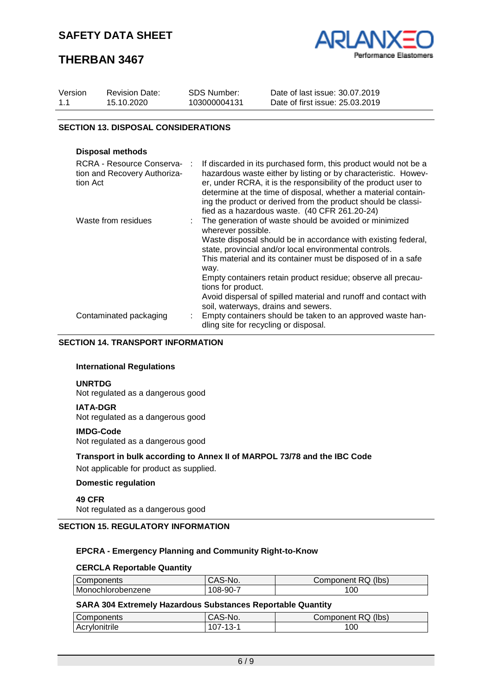# **THERBAN 3467**



| Version | <b>Revision Date:</b> | SDS Number:  | Date of last issue: 30.07.2019  |  |
|---------|-----------------------|--------------|---------------------------------|--|
| 1.1     | 15.10.2020            | 103000004131 | Date of first issue: 25.03.2019 |  |
|         |                       |              |                                 |  |

## **SECTION 13. DISPOSAL CONSIDERATIONS**

### **Disposal methods**

| RCRA - Resource Conserva-<br>tion and Recovery Authoriza-<br>tion Act | If discarded in its purchased form, this product would not be a<br>hazardous waste either by listing or by characteristic. Howev-<br>er, under RCRA, it is the responsibility of the product user to<br>determine at the time of disposal, whether a material contain-<br>ing the product or derived from the product should be classi-<br>fied as a hazardous waste. (40 CFR 261.20-24) |
|-----------------------------------------------------------------------|------------------------------------------------------------------------------------------------------------------------------------------------------------------------------------------------------------------------------------------------------------------------------------------------------------------------------------------------------------------------------------------|
| Waste from residues                                                   | The generation of waste should be avoided or minimized<br>wherever possible.<br>Waste disposal should be in accordance with existing federal,<br>state, provincial and/or local environmental controls.<br>This material and its container must be disposed of in a safe<br>way.                                                                                                         |
|                                                                       | Empty containers retain product residue; observe all precau-<br>tions for product.<br>Avoid dispersal of spilled material and runoff and contact with                                                                                                                                                                                                                                    |
|                                                                       | soil, waterways, drains and sewers.                                                                                                                                                                                                                                                                                                                                                      |
| Contaminated packaging                                                | Empty containers should be taken to an approved waste han-<br>dling site for recycling or disposal.                                                                                                                                                                                                                                                                                      |

## **SECTION 14. TRANSPORT INFORMATION**

## **International Regulations**

### **UNRTDG**

Not regulated as a dangerous good

#### **IATA-DGR**

Not regulated as a dangerous good

#### **IMDG-Code**

Not regulated as a dangerous good

#### **Transport in bulk according to Annex II of MARPOL 73/78 and the IBC Code**

Not applicable for product as supplied.

## **Domestic regulation**

**49 CFR** Not regulated as a dangerous good

#### **SECTION 15. REGULATORY INFORMATION**

#### **EPCRA - Emergency Planning and Community Right-to-Know**

#### **CERCLA Reportable Quantity**

| Components        | CAS-No.        | Component RQ (lbs) |
|-------------------|----------------|--------------------|
| Monochlorobenzene | $108 - 90 - 7$ | 00                 |

#### **SARA 304 Extremely Hazardous Substances Reportable Quantity**

| Components    | S-No.<br>CAS | (lbs)<br><b>RQ</b><br>Component F |
|---------------|--------------|-----------------------------------|
| Acrylonitrile | - ت.<br>v,   | 00                                |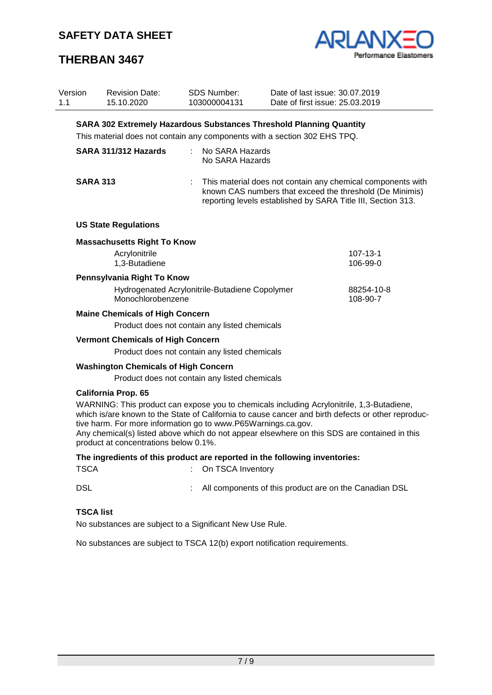



| Version<br>1.1 | <b>Revision Date:</b><br>15.10.2020           | <b>SDS Number:</b><br>103000004131                            | Date of last issue: 30.07.2019<br>Date of first issue: 25.03.2019                                                                                                                                                                                                                               |                        |  |  |
|----------------|-----------------------------------------------|---------------------------------------------------------------|-------------------------------------------------------------------------------------------------------------------------------------------------------------------------------------------------------------------------------------------------------------------------------------------------|------------------------|--|--|
|                |                                               |                                                               | <b>SARA 302 Extremely Hazardous Substances Threshold Planning Quantity</b>                                                                                                                                                                                                                      |                        |  |  |
|                |                                               |                                                               | This material does not contain any components with a section 302 EHS TPQ.                                                                                                                                                                                                                       |                        |  |  |
|                | SARA 311/312 Hazards                          | ÷.<br>No SARA Hazards<br>No SARA Hazards                      |                                                                                                                                                                                                                                                                                                 |                        |  |  |
|                | <b>SARA 313</b>                               |                                                               | This material does not contain any chemical components with<br>known CAS numbers that exceed the threshold (De Minimis)<br>reporting levels established by SARA Title III, Section 313.                                                                                                         |                        |  |  |
|                | <b>US State Regulations</b>                   |                                                               |                                                                                                                                                                                                                                                                                                 |                        |  |  |
|                | <b>Massachusetts Right To Know</b>            |                                                               |                                                                                                                                                                                                                                                                                                 |                        |  |  |
|                | Acrylonitrile                                 |                                                               |                                                                                                                                                                                                                                                                                                 | $107 - 13 - 1$         |  |  |
|                | 1,3-Butadiene                                 |                                                               |                                                                                                                                                                                                                                                                                                 | 106-99-0               |  |  |
|                | Pennsylvania Right To Know                    |                                                               |                                                                                                                                                                                                                                                                                                 |                        |  |  |
|                | Monochlorobenzene                             | Hydrogenated Acrylonitrile-Butadiene Copolymer                |                                                                                                                                                                                                                                                                                                 | 88254-10-8<br>108-90-7 |  |  |
|                | <b>Maine Chemicals of High Concern</b>        |                                                               |                                                                                                                                                                                                                                                                                                 |                        |  |  |
|                |                                               | Product does not contain any listed chemicals                 |                                                                                                                                                                                                                                                                                                 |                        |  |  |
|                | <b>Vermont Chemicals of High Concern</b>      |                                                               |                                                                                                                                                                                                                                                                                                 |                        |  |  |
|                | Product does not contain any listed chemicals |                                                               |                                                                                                                                                                                                                                                                                                 |                        |  |  |
|                | <b>Washington Chemicals of High Concern</b>   |                                                               |                                                                                                                                                                                                                                                                                                 |                        |  |  |
|                |                                               | Product does not contain any listed chemicals                 |                                                                                                                                                                                                                                                                                                 |                        |  |  |
|                | <b>California Prop. 65</b>                    |                                                               |                                                                                                                                                                                                                                                                                                 |                        |  |  |
|                | product at concentrations below 0.1%.         | tive harm. For more information go to www.P65Warnings.ca.gov. | WARNING: This product can expose you to chemicals including Acrylonitrile, 1,3-Butadiene,<br>which is/are known to the State of California to cause cancer and birth defects or other reproduc-<br>Any chemical(s) listed above which do not appear elsewhere on this SDS are contained in this |                        |  |  |
|                |                                               |                                                               | The ingredients of this product are reported in the following inventories:                                                                                                                                                                                                                      |                        |  |  |
| <b>TSCA</b>    |                                               | On TSCA Inventory                                             |                                                                                                                                                                                                                                                                                                 |                        |  |  |
| <b>DSL</b>     |                                               |                                                               | All components of this product are on the Canadian DSL                                                                                                                                                                                                                                          |                        |  |  |

## **TSCA list**

No substances are subject to a Significant New Use Rule.

No substances are subject to TSCA 12(b) export notification requirements.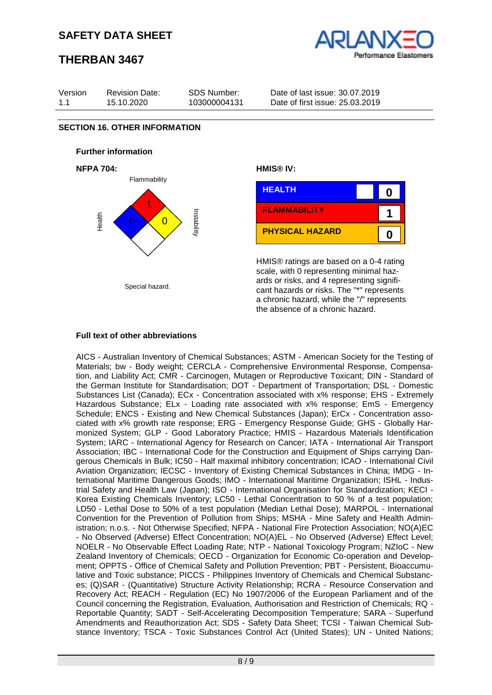# **THERBAN 3467**





## **Full text of other abbreviations**

AICS - Australian Inventory of Chemical Substances; ASTM - American Society for the Testing of Materials; bw - Body weight; CERCLA - Comprehensive Environmental Response, Compensation, and Liability Act; CMR - Carcinogen, Mutagen or Reproductive Toxicant; DIN - Standard of the German Institute for Standardisation; DOT - Department of Transportation; DSL - Domestic Substances List (Canada); ECx - Concentration associated with x% response; EHS - Extremely Hazardous Substance; ELx - Loading rate associated with x% response; EmS - Emergency Schedule; ENCS - Existing and New Chemical Substances (Japan); ErCx - Concentration associated with x% growth rate response; ERG - Emergency Response Guide; GHS - Globally Harmonized System; GLP - Good Laboratory Practice; HMIS - Hazardous Materials Identification System; IARC - International Agency for Research on Cancer; IATA - International Air Transport Association; IBC - International Code for the Construction and Equipment of Ships carrying Dangerous Chemicals in Bulk; IC50 - Half maximal inhibitory concentration; ICAO - International Civil Aviation Organization; IECSC - Inventory of Existing Chemical Substances in China; IMDG - International Maritime Dangerous Goods; IMO - International Maritime Organization; ISHL - Industrial Safety and Health Law (Japan); ISO - International Organisation for Standardization; KECI - Korea Existing Chemicals Inventory; LC50 - Lethal Concentration to 50 % of a test population; LD50 - Lethal Dose to 50% of a test population (Median Lethal Dose); MARPOL - International Convention for the Prevention of Pollution from Ships; MSHA - Mine Safety and Health Administration; n.o.s. - Not Otherwise Specified; NFPA - National Fire Protection Association; NO(A)EC - No Observed (Adverse) Effect Concentration; NO(A)EL - No Observed (Adverse) Effect Level; NOELR - No Observable Effect Loading Rate; NTP - National Toxicology Program; NZIoC - New Zealand Inventory of Chemicals; OECD - Organization for Economic Co-operation and Development; OPPTS - Office of Chemical Safety and Pollution Prevention; PBT - Persistent, Bioaccumulative and Toxic substance; PICCS - Philippines Inventory of Chemicals and Chemical Substances; (Q)SAR - (Quantitative) Structure Activity Relationship; RCRA - Resource Conservation and Recovery Act; REACH - Regulation (EC) No 1907/2006 of the European Parliament and of the Council concerning the Registration, Evaluation, Authorisation and Restriction of Chemicals; RQ - Reportable Quantity; SADT - Self-Accelerating Decomposition Temperature; SARA - Superfund Amendments and Reauthorization Act; SDS - Safety Data Sheet; TCSI - Taiwan Chemical Substance Inventory; TSCA - Toxic Substances Control Act (United States); UN - United Nations;